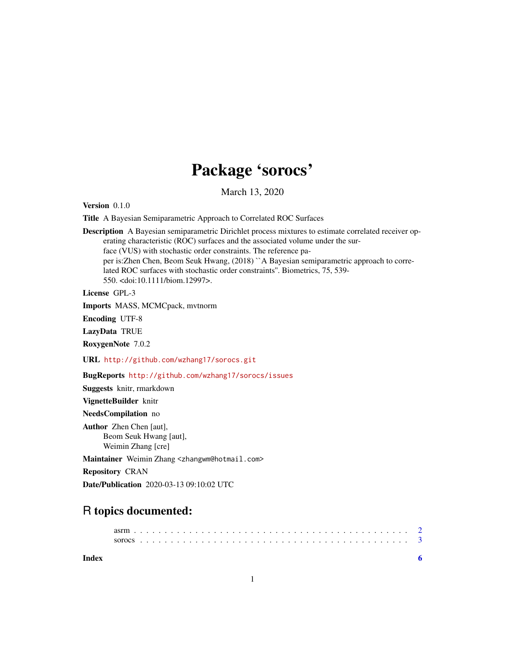## Package 'sorocs'

March 13, 2020

Version 0.1.0

Title A Bayesian Semiparametric Approach to Correlated ROC Surfaces

Description A Bayesian semiparametric Dirichlet process mixtures to estimate correlated receiver operating characteristic (ROC) surfaces and the associated volume under the surface (VUS) with stochastic order constraints. The reference paper is:Zhen Chen, Beom Seuk Hwang, (2018) ``A Bayesian semiparametric approach to correlated ROC surfaces with stochastic order constraints''. Biometrics, 75, 539- 550. <doi:10.1111/biom.12997>.

License GPL-3

Imports MASS, MCMCpack, mvtnorm

Encoding UTF-8

LazyData TRUE

RoxygenNote 7.0.2

URL <http://github.com/wzhang17/sorocs.git>

BugReports <http://github.com/wzhang17/sorocs/issues>

Suggests knitr, rmarkdown

VignetteBuilder knitr

NeedsCompilation no

Author Zhen Chen [aut], Beom Seuk Hwang [aut], Weimin Zhang [cre]

Maintainer Weimin Zhang <zhangwm@hotmail.com>

Repository CRAN

Date/Publication 2020-03-13 09:10:02 UTC

### R topics documented:

**Index** [6](#page-5-0) **6**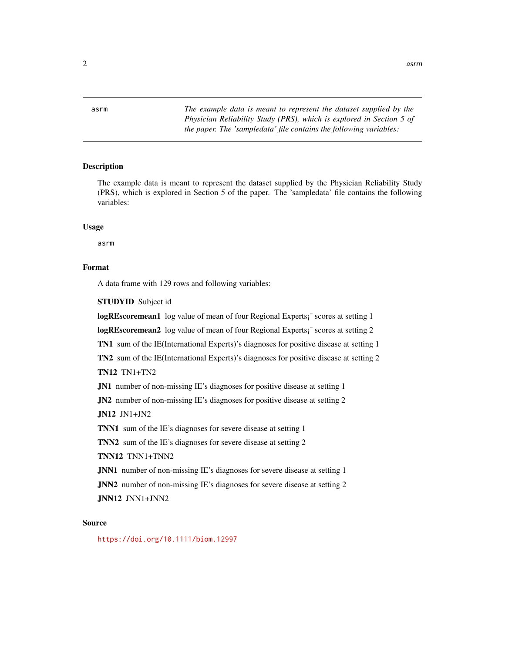<span id="page-1-0"></span>2 assume that  $2\pi$  as  $\pi$  as  $2\pi$ 

asrm *The example data is meant to represent the dataset supplied by the Physician Reliability Study (PRS), which is explored in Section 5 of the paper. The 'sampledata' file contains the following variables:*

#### Description

The example data is meant to represent the dataset supplied by the Physician Reliability Study (PRS), which is explored in Section 5 of the paper. The 'sampledata' file contains the following variables:

#### Usage

asrm

#### Format

A data frame with 129 rows and following variables:

#### STUDYID Subject id

logREscoremean1 log value of mean of four Regional Experts;<sup> $-$ </sup> scores at setting 1 logREscoremean2 log value of mean of four Regional Experts<sup> $-$ </sup> scores at setting 2 TN1 sum of the IE(International Experts)'s diagnoses for positive disease at setting 1

TN2 sum of the IE(International Experts)'s diagnoses for positive disease at setting 2

#### TN12 TN1+TN2

JN1 number of non-missing IE's diagnoses for positive disease at setting 1

JN2 number of non-missing IE's diagnoses for positive disease at setting 2 JN12 JN1+JN2

TNN1 sum of the IE's diagnoses for severe disease at setting 1

TNN2 sum of the IE's diagnoses for severe disease at setting 2

TNN12 TNN1+TNN2

JNN1 number of non-missing IE's diagnoses for severe disease at setting 1

JNN2 number of non-missing IE's diagnoses for severe disease at setting 2 JNN12 JNN1+JNN2

#### Source

<https://doi.org/10.1111/biom.12997>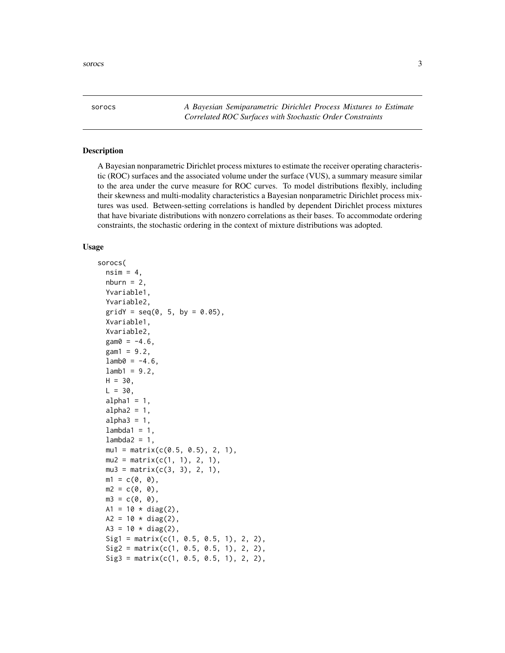<span id="page-2-0"></span>sorocs *A Bayesian Semiparametric Dirichlet Process Mixtures to Estimate Correlated ROC Surfaces with Stochastic Order Constraints*

#### Description

A Bayesian nonparametric Dirichlet process mixtures to estimate the receiver operating characteristic (ROC) surfaces and the associated volume under the surface (VUS), a summary measure similar to the area under the curve measure for ROC curves. To model distributions flexibly, including their skewness and multi-modality characteristics a Bayesian nonparametric Dirichlet process mixtures was used. Between-setting correlations is handled by dependent Dirichlet process mixtures that have bivariate distributions with nonzero correlations as their bases. To accommodate ordering constraints, the stochastic ordering in the context of mixture distributions was adopted.

#### Usage

```
sorocs(
  nsim = 4,
 nburn = 2,
  Yvariable1,
  Yvariable2,
  gridY = seq(0, 5, by = 0.05),
  Xvariable1,
  Xvariable2,
  \text{gamma} = -4.6,
  gam1 = 9.2,lamb0 = -4.6,
  lamb1 = 9.2,H = 30,
 L = 30,alpha1 = 1,
  alpha2 = 1,
  alpha3 = 1,
  lambda1 = 1,
  lambda2 = 1,
 mu1 = matrix(c(0.5, 0.5), 2, 1),mu2 = matrix(c(1, 1), 2, 1),mu3 = matrix(c(3, 3), 2, 1),m1 = c(0, 0),
 m2 = c(0, 0),
 m3 = c(0, 0),
 A1 = 10 * diag(2),
 A2 = 10 * diag(2),
 A3 = 10 * diag(2),
  Sig1 = matrix(c(1, 0.5, 0.5, 1), 2, 2),Sig2 = matrix(c(1, 0.5, 0.5, 1), 2, 2),Sig3 = matrix(c(1, 0.5, 0.5, 1), 2, 2),
```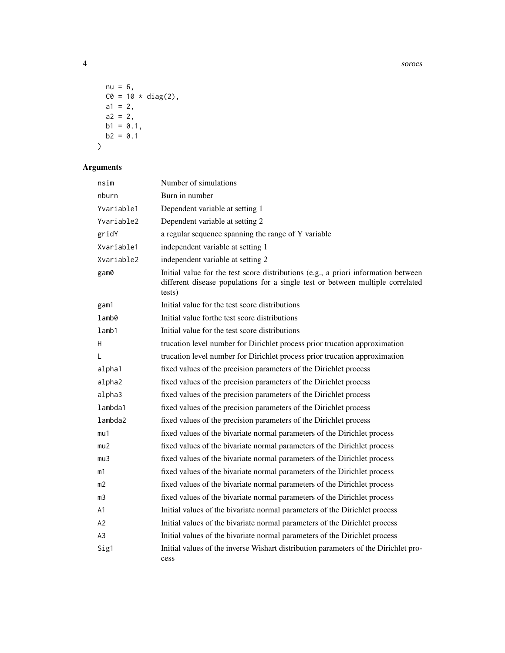4 sorocs and the set of the set of the set of the set of the set of the set of the set of the set of the set of the set of the set of the set of the set of the set of the set of the set of the set of the set of the set of

```
nu = 6,
 C0 = 10 * diag(2),
 a1 = 2,a2 = 2,b1 = 0.1,
 b2 = 0.1)
```
#### Arguments

| nsim           | Number of simulations                                                                                                                                                          |
|----------------|--------------------------------------------------------------------------------------------------------------------------------------------------------------------------------|
| nburn          | Burn in number                                                                                                                                                                 |
| Yvariable1     | Dependent variable at setting 1                                                                                                                                                |
| Yvariable2     | Dependent variable at setting 2                                                                                                                                                |
| gridY          | a regular sequence spanning the range of Y variable                                                                                                                            |
| Xvariable1     | independent variable at setting 1                                                                                                                                              |
| Xvariable2     | independent variable at setting 2                                                                                                                                              |
| gam0           | Initial value for the test score distributions (e.g., a priori information between<br>different disease populations for a single test or between multiple correlated<br>tests) |
| gam1           | Initial value for the test score distributions                                                                                                                                 |
| lamb@          | Initial value for the test score distributions                                                                                                                                 |
| lamb1          | Initial value for the test score distributions                                                                                                                                 |
| H              | trucation level number for Dirichlet process prior trucation approximation                                                                                                     |
| L              | trucation level number for Dirichlet process prior trucation approximation                                                                                                     |
| alpha1         | fixed values of the precision parameters of the Dirichlet process                                                                                                              |
| alpha2         | fixed values of the precision parameters of the Dirichlet process                                                                                                              |
| alpha3         | fixed values of the precision parameters of the Dirichlet process                                                                                                              |
| lambda1        | fixed values of the precision parameters of the Dirichlet process                                                                                                              |
| lambda2        | fixed values of the precision parameters of the Dirichlet process                                                                                                              |
| mu1            | fixed values of the bivariate normal parameters of the Dirichlet process                                                                                                       |
| mu2            | fixed values of the bivariate normal parameters of the Dirichlet process                                                                                                       |
| mu3            | fixed values of the bivariate normal parameters of the Dirichlet process                                                                                                       |
| m1             | fixed values of the bivariate normal parameters of the Dirichlet process                                                                                                       |
| m2             | fixed values of the bivariate normal parameters of the Dirichlet process                                                                                                       |
| m <sub>3</sub> | fixed values of the bivariate normal parameters of the Dirichlet process                                                                                                       |
| A <sub>1</sub> | Initial values of the bivariate normal parameters of the Dirichlet process                                                                                                     |
| A2             | Initial values of the bivariate normal parameters of the Dirichlet process                                                                                                     |
| A3             | Initial values of the bivariate normal parameters of the Dirichlet process                                                                                                     |
| Sig1           | Initial values of the inverse Wishart distribution parameters of the Dirichlet pro-<br>cess                                                                                    |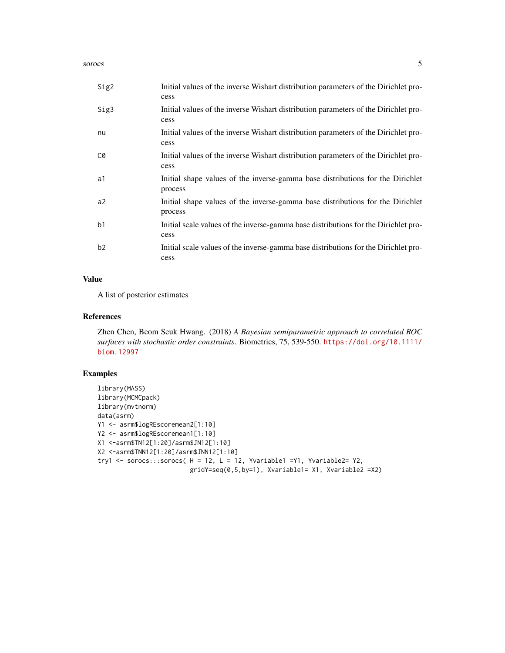$s$  sorocs  $\sim$  5

| Sig2           | Initial values of the inverse Wishart distribution parameters of the Dirichlet pro-<br>cess |
|----------------|---------------------------------------------------------------------------------------------|
| Sig3           | Initial values of the inverse Wishart distribution parameters of the Dirichlet pro-<br>cess |
| nu             | Initial values of the inverse Wishart distribution parameters of the Dirichlet pro-<br>cess |
| C0             | Initial values of the inverse Wishart distribution parameters of the Dirichlet pro-<br>cess |
| a1             | Initial shape values of the inverse-gamma base distributions for the Dirichlet<br>process   |
| a2             | Initial shape values of the inverse-gamma base distributions for the Dirichlet<br>process   |
| b <sub>1</sub> | Initial scale values of the inverse-gamma base distributions for the Dirichlet pro-<br>cess |
| b2             | Initial scale values of the inverse-gamma base distributions for the Dirichlet pro-<br>cess |

#### Value

A list of posterior estimates

#### References

Zhen Chen, Beom Seuk Hwang. (2018) *A Bayesian semiparametric approach to correlated ROC surfaces with stochastic order constraints*. Biometrics, 75, 539-550. [https://doi.org/10.1111/](https://doi.org/10.1111/biom.12997) [biom.12997](https://doi.org/10.1111/biom.12997)

#### Examples

```
library(MASS)
library(MCMCpack)
library(mvtnorm)
data(asrm)
Y1 <- asrm$logREscoremean2[1:10]
Y2 <- asrm$logREscoremean1[1:10]
X1 <-asrm$TN12[1:20]/asrm$JN12[1:10]
X2 <-asrm$TNN12[1:20]/asrm$JNN12[1:10]
try1 <- sorocs:::sorocs( H = 12, L = 12, Yvariable1 =Y1, Yvariable2= Y2,
                         gridY=seq(0,5,by=1), Xvariable1= X1, Xvariable2 =X2)
```